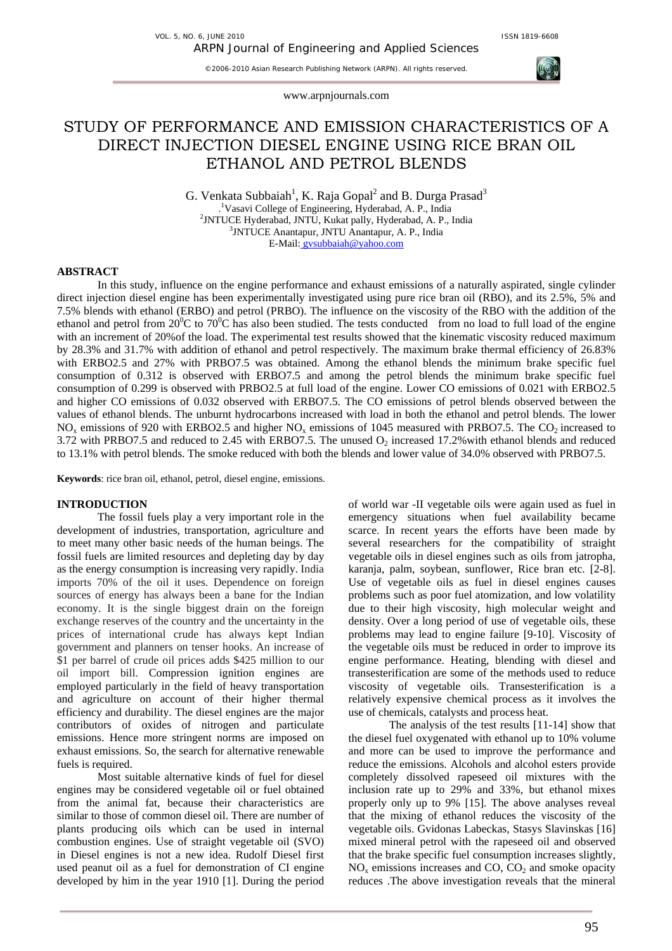

www.arpnjournals.com

# STUDY OF PERFORMANCE AND EMISSION CHARACTERISTICS OF A DIRECT INJECTION DIESEL ENGINE USING RICE BRAN OIL ETHANOL AND PETROL BLENDS

G. Venkata Subbaiah<sup>1</sup>, K. Raja Gopal<sup>2</sup> and B. Durga Prasad<sup>3</sup> . 1 Vasavi College of Engineering, Hyderabad, A. P., India <sup>2</sup>JNTUCE Hyderabad, JNTU, Kukat pally, Hyderabad, A. P., India  $\frac{3 \text{INTI/CE}}{2 \text{Inestency L}} \triangleq 2 \text{Instituting } \triangle$ <sup>3</sup>JNTUCE Anantapur, JNTU Anantapur, A. P., India E-Mail: gvsubbaiah@yahoo.com

## **ABSTRACT**

In this study, influence on the engine performance and exhaust emissions of a naturally aspirated, single cylinder direct injection diesel engine has been experimentally investigated using pure rice bran oil (RBO), and its 2.5%, 5% and 7.5% blends with ethanol (ERBO) and petrol (PRBO). The influence on the viscosity of the RBO with the addition of the ethanol and petrol from  $20^{\circ}$ C to  $70^{\circ}$ C has also been studied. The tests conducted from no load to full load of the engine with an increment of 20% of the load. The experimental test results showed that the kinematic viscosity reduced maximum by 28.3% and 31.7% with addition of ethanol and petrol respectively. The maximum brake thermal efficiency of 26.83% with ERBO2.5 and 27% with PRBO7.5 was obtained. Among the ethanol blends the minimum brake specific fuel consumption of 0.312 is observed with ERBO7.5 and among the petrol blends the minimum brake specific fuel consumption of 0.299 is observed with PRBO2.5 at full load of the engine. Lower CO emissions of 0.021 with ERBO2.5 and higher CO emissions of 0.032 observed with ERBO7.5. The CO emissions of petrol blends observed between the values of ethanol blends. The unburnt hydrocarbons increased with load in both the ethanol and petrol blends. The lower NO<sub>x</sub> emissions of 920 with ERBO2.5 and higher NO<sub>x</sub> emissions of 1045 measured with PRBO7.5. The CO<sub>2</sub> increased to 3.72 with PRBO7.5 and reduced to 2.45 with ERBO7.5. The unused  $O_2$  increased 17.2% with ethanol blends and reduced to 13.1% with petrol blends. The smoke reduced with both the blends and lower value of 34.0% observed with PRBO7.5.

**Keywords**: rice bran oil, ethanol, petrol, diesel engine, emissions.

## **INTRODUCTION**

The fossil fuels play a very important role in the development of industries, transportation, agriculture and to meet many other basic needs of the human beings. The fossil fuels are limited resources and depleting day by day as the energy consumption is increasing very rapidly. India imports 70% of the oil it uses. Dependence on foreign sources of energy has always been a bane for the Indian economy. It is the single biggest drain on the foreign exchange reserves of the country and the uncertainty in the prices of international crude has always kept Indian government and planners on tenser hooks. An increase of \$1 per barrel of crude oil prices adds \$425 million to our oil import bill. Compression ignition engines are employed particularly in the field of heavy transportation and agriculture on account of their higher thermal efficiency and durability. The diesel engines are the major contributors of oxides of nitrogen and particulate emissions. Hence more stringent norms are imposed on exhaust emissions. So, the search for alternative renewable fuels is required.

Most suitable alternative kinds of fuel for diesel engines may be considered vegetable oil or fuel obtained from the animal fat, because their characteristics are similar to those of common diesel oil. There are number of plants producing oils which can be used in internal combustion engines. Use of straight vegetable oil (SVO) in Diesel engines is not a new idea. Rudolf Diesel first used peanut oil as a fuel for demonstration of CI engine developed by him in the year 1910 [1]. During the period

of world war -II vegetable oils were again used as fuel in emergency situations when fuel availability became scarce. In recent years the efforts have been made by several researchers for the compatibility of straight vegetable oils in diesel engines such as oils from jatropha, karanja, palm, soybean, sunflower, Rice bran etc. [2-8]. Use of vegetable oils as fuel in diesel engines causes problems such as poor fuel atomization, and low volatility due to their high viscosity, high molecular weight and density. Over a long period of use of vegetable oils, these problems may lead to engine failure [9-10]. Viscosity of the vegetable oils must be reduced in order to improve its engine performance. Heating, blending with diesel and transesterification are some of the methods used to reduce viscosity of vegetable oils. Transesterification is a relatively expensive chemical process as it involves the use of chemicals, catalysts and process heat.

The analysis of the test results [11-14] show that the diesel fuel oxygenated with ethanol up to 10% volume and more can be used to improve the performance and reduce the emissions. Alcohols and alcohol esters provide completely dissolved rapeseed oil mixtures with the inclusion rate up to 29% and 33%, but ethanol mixes properly only up to 9% [15]. The above analyses reveal that the mixing of ethanol reduces the viscosity of the vegetable oils. Gvidonas Labeckas, Stasys Slavinskas [16] mixed mineral petrol with the rapeseed oil and observed that the brake specific fuel consumption increases slightly,  $NO<sub>x</sub>$  emissions increases and CO,  $CO<sub>2</sub>$  and smoke opacity reduces .The above investigation reveals that the mineral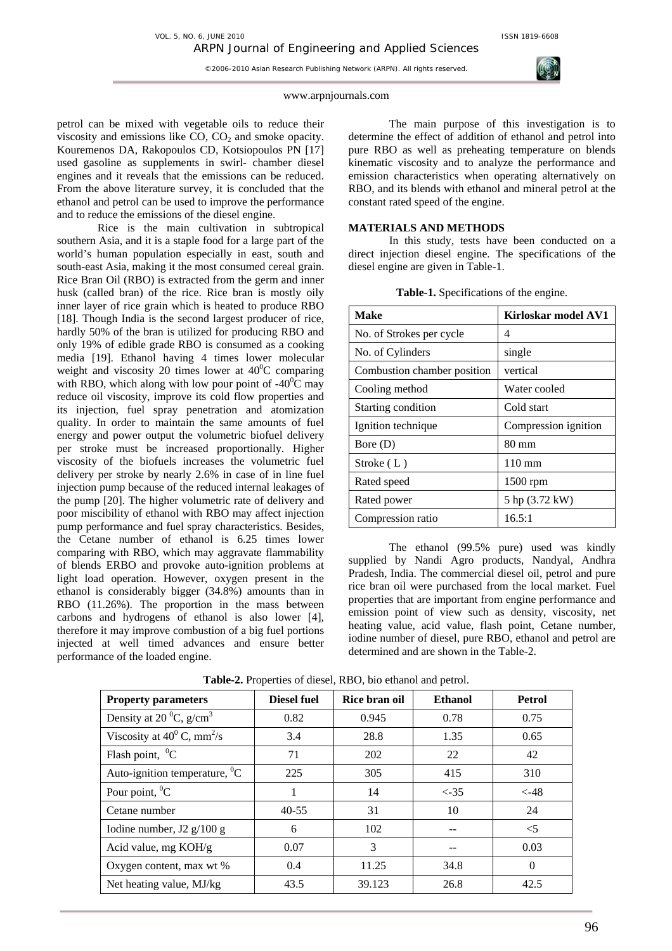

# www.arpnjournals.com

petrol can be mixed with vegetable oils to reduce their viscosity and emissions like  $CO$ ,  $CO<sub>2</sub>$  and smoke opacity. Kouremenos DA, Rakopoulos CD, Kotsiopoulos PN [17] used gasoline as supplements in swirl- chamber diesel engines and it reveals that the emissions can be reduced. From the above literature survey, it is concluded that the ethanol and petrol can be used to improve the performance and to reduce the emissions of the diesel engine.

Rice is the main cultivation in subtropical southern Asia, and it is a staple food for a large part of the world's human population especially in east, south and south-east Asia, making it the most consumed cereal grain. Rice Bran Oil (RBO) is extracted from the germ and inner husk (called bran) of the rice. Rice bran is mostly oily inner layer of rice grain which is heated to produce RBO [18]. Though India is the second largest producer of rice, hardly 50% of the bran is utilized for producing RBO and only 19% of edible grade RBO is consumed as a cooking media [19]. Ethanol having 4 times lower molecular weight and viscosity 20 times lower at  $40^{\circ}$ C comparing with RBO, which along with low pour point of  $-40^{\circ}$ C may reduce oil viscosity, improve its cold flow properties and its injection, fuel spray penetration and atomization quality. In order to maintain the same amounts of fuel energy and power output the volumetric biofuel delivery per stroke must be increased proportionally. Higher viscosity of the biofuels increases the volumetric fuel delivery per stroke by nearly 2.6% in case of in line fuel injection pump because of the reduced internal leakages of the pump [20]. The higher volumetric rate of delivery and poor miscibility of ethanol with RBO may affect injection pump performance and fuel spray characteristics. Besides, the Cetane number of ethanol is 6.25 times lower comparing with RBO, which may aggravate flammability of blends ERBO and provoke auto-ignition problems at light load operation. However, oxygen present in the ethanol is considerably bigger (34.8%) amounts than in RBO (11.26%). The proportion in the mass between carbons and hydrogens of ethanol is also lower [4], therefore it may improve combustion of a big fuel portions injected at well timed advances and ensure better performance of the loaded engine.

The main purpose of this investigation is to determine the effect of addition of ethanol and petrol into pure RBO as well as preheating temperature on blends kinematic viscosity and to analyze the performance and emission characteristics when operating alternatively on RBO, and its blends with ethanol and mineral petrol at the constant rated speed of the engine.

# **MATERIALS AND METHODS**

In this study, tests have been conducted on a direct injection diesel engine. The specifications of the diesel engine are given in Table-1.

| <b>Make</b>                 | Kirloskar model AV1  |  |  |
|-----------------------------|----------------------|--|--|
| No. of Strokes per cycle    | 4                    |  |  |
| No. of Cylinders            | single               |  |  |
| Combustion chamber position | vertical             |  |  |
| Cooling method              | Water cooled         |  |  |
| Starting condition          | Cold start           |  |  |
| Ignition technique          | Compression ignition |  |  |
| Bore (D)                    | 80 mm                |  |  |
| Stroke $(L)$                | $110 \text{ mm}$     |  |  |
| Rated speed                 | $1500$ rpm           |  |  |
| Rated power                 | 5 hp (3.72 kW)       |  |  |
| Compression ratio           | 16.5:1               |  |  |

**Table-1.** Specifications of the engine.

The ethanol (99.5% pure) used was kindly supplied by Nandi Agro products, Nandyal, Andhra Pradesh, India. The commercial diesel oil, petrol and pure rice bran oil were purchased from the local market. Fuel properties that are important from engine performance and emission point of view such as density, viscosity, net heating value, acid value, flash point, Cetane number, iodine number of diesel, pure RBO, ethanol and petrol are determined and are shown in the Table-2.

| <b>Property parameters</b>                      | <b>Diesel fuel</b> | Rice bran oil | <b>Ethanol</b> | <b>Petrol</b> |
|-------------------------------------------------|--------------------|---------------|----------------|---------------|
| Density at 20 $^0C$ , g/cm <sup>3</sup>         | 0.82               | 0.945         | 0.78           | 0.75          |
| Viscosity at $40^{\circ}$ C, mm <sup>2</sup> /s | 3.4                | 28.8          | 1.35           | 0.65          |
| Flash point, $^0C$                              | 71                 | 202           | 22             | 42            |
| Auto-ignition temperature, ${}^{0}C$            | 225                | 305           | 415            | 310           |
| Pour point, ${}^{0}C$                           | 1                  | 14            | $< -35$        | $< -48$       |
| Cetane number                                   | $40 - 55$          | 31            | 10             | 24            |
| Iodine number, J2 $g/100 g$                     | 6                  | 102           |                | $\leq$ 5      |
| Acid value, mg KOH/g                            | 0.07               | 3             |                | 0.03          |
| Oxygen content, max wt %                        | 0.4                | 11.25         | 34.8           | $\Omega$      |
| Net heating value, MJ/kg                        | 43.5               | 39.123        | 26.8           | 42.5          |

**Table-2.** Properties of diesel, RBO, bio ethanol and petrol.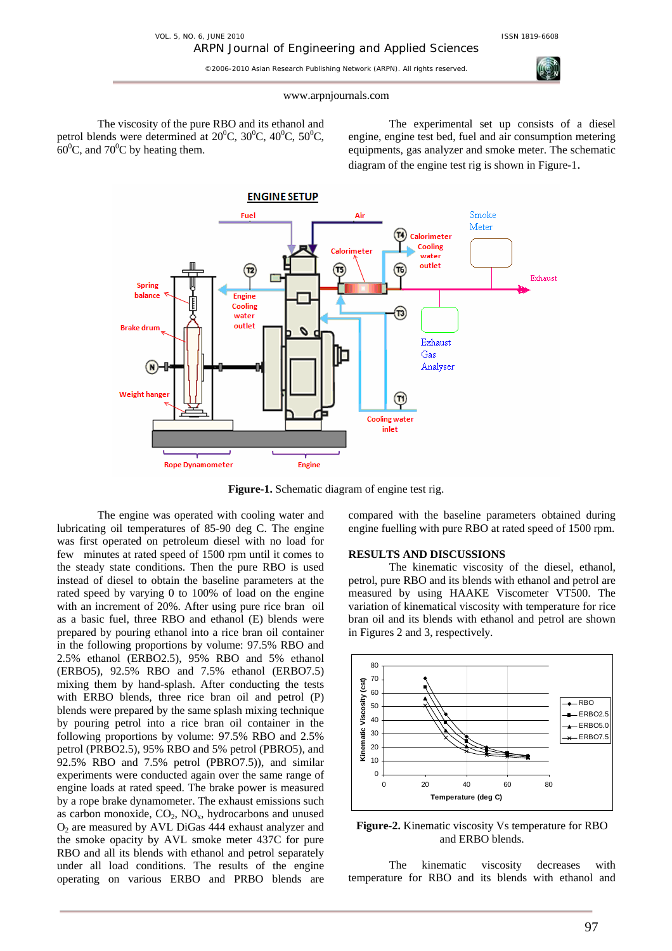

## www.arpnjournals.com

The viscosity of the pure RBO and its ethanol and petrol blends were determined at  $20^{\circ}$ C,  $30^{\circ}$ C,  $40^{\circ}$ C,  $50^{\circ}$ C,  $60^{\circ}$ C, and 70<sup>°</sup>C by heating them.

The experimental set up consists of a diesel engine, engine test bed, fuel and air consumption metering equipments, gas analyzer and smoke meter. The schematic diagram of the engine test rig is shown in Figure-1.



**Figure-1.** Schematic diagram of engine test rig.

The engine was operated with cooling water and lubricating oil temperatures of 85-90 deg C. The engine was first operated on petroleum diesel with no load for few minutes at rated speed of 1500 rpm until it comes to the steady state conditions. Then the pure RBO is used instead of diesel to obtain the baseline parameters at the rated speed by varying 0 to 100% of load on the engine with an increment of 20%. After using pure rice bran oil as a basic fuel, three RBO and ethanol (E) blends were prepared by pouring ethanol into a rice bran oil container in the following proportions by volume: 97.5% RBO and 2.5% ethanol (ERBO2.5), 95% RBO and 5% ethanol (ERBO5), 92.5% RBO and 7.5% ethanol (ERBO7.5) mixing them by hand-splash. After conducting the tests with ERBO blends, three rice bran oil and petrol (P) blends were prepared by the same splash mixing technique by pouring petrol into a rice bran oil container in the following proportions by volume: 97.5% RBO and 2.5% petrol (PRBO2.5), 95% RBO and 5% petrol (PBRO5), and 92.5% RBO and 7.5% petrol (PBRO7.5)), and similar experiments were conducted again over the same range of engine loads at rated speed. The brake power is measured by a rope brake dynamometer. The exhaust emissions such as carbon monoxide,  $CO<sub>2</sub>$ ,  $NO<sub>x</sub>$ , hydrocarbons and unused O<sub>2</sub> are measured by AVL DiGas 444 exhaust analyzer and the smoke opacity by AVL smoke meter 437C for pure RBO and all its blends with ethanol and petrol separately under all load conditions. The results of the engine operating on various ERBO and PRBO blends are compared with the baseline parameters obtained during engine fuelling with pure RBO at rated speed of 1500 rpm.

# **RESULTS AND DISCUSSIONS**

The kinematic viscosity of the diesel, ethanol, petrol, pure RBO and its blends with ethanol and petrol are measured by using HAAKE Viscometer VT500. The variation of kinematical viscosity with temperature for rice bran oil and its blends with ethanol and petrol are shown in Figures 2 and 3, respectively.



**Figure-2.** Kinematic viscosity Vs temperature for RBO and ERBO blends.

The kinematic viscosity decreases with temperature for RBO and its blends with ethanol and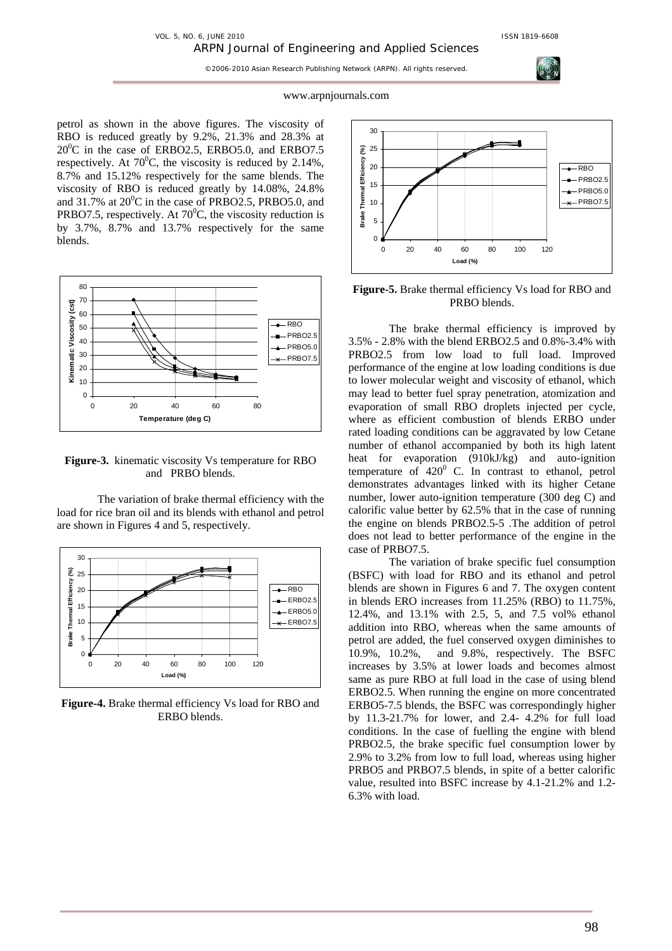#### www.arpnjournals.com

petrol as shown in the above figures. The viscosity of RBO is reduced greatly by 9.2%, 21.3% and 28.3% at 20<sup>0</sup>C in the case of ERBO2.5, ERBO5.0, and ERBO7.5 respectively. At  $70^{\circ}$ C, the viscosity is reduced by 2.14%, 8.7% and 15.12% respectively for the same blends. The viscosity of RBO is reduced greatly by 14.08%, 24.8% and 31.7% at  $20^0$ C in the case of PRBO2.5, PRBO5.0, and PRBO7.5, respectively. At  $70^{\circ}$ C, the viscosity reduction is by 3.7%, 8.7% and 13.7% respectively for the same blends.



**Figure-3.** kinematic viscosity Vs temperature for RBO and PRBO blends.

The variation of brake thermal efficiency with the load for rice bran oil and its blends with ethanol and petrol are shown in Figures 4 and 5, respectively.



**Figure-4.** Brake thermal efficiency Vs load for RBO and ERBO blends.



**Figure-5.** Brake thermal efficiency Vs load for RBO and PRBO blends.

The brake thermal efficiency is improved by 3.5% - 2.8% with the blend ERBO2.5 and 0.8%-3.4% with PRBO2.5 from low load to full load. Improved performance of the engine at low loading conditions is due to lower molecular weight and viscosity of ethanol, which may lead to better fuel spray penetration, atomization and evaporation of small RBO droplets injected per cycle, where as efficient combustion of blends ERBO under rated loading conditions can be aggravated by low Cetane number of ethanol accompanied by both its high latent heat for evaporation (910kJ/kg) and auto-ignition temperature of  $420^0$  C. In contrast to ethanol, petrol demonstrates advantages linked with its higher Cetane number, lower auto-ignition temperature (300 deg C) and calorific value better by 62.5% that in the case of running the engine on blends PRBO2.5-5 .The addition of petrol does not lead to better performance of the engine in the case of PRBO7.5.

The variation of brake specific fuel consumption (BSFC) with load for RBO and its ethanol and petrol blends are shown in Figures 6 and 7. The oxygen content in blends ERO increases from 11.25% (RBO) to 11.75%, 12.4%, and 13.1% with 2.5, 5, and 7.5 vol% ethanol addition into RBO, whereas when the same amounts of petrol are added, the fuel conserved oxygen diminishes to 10.9%, 10.2%, and 9.8%, respectively. The BSFC increases by 3.5% at lower loads and becomes almost same as pure RBO at full load in the case of using blend ERBO2.5. When running the engine on more concentrated ERBO5-7.5 blends, the BSFC was correspondingly higher by 11.3-21.7% for lower, and 2.4- 4.2% for full load conditions. In the case of fuelling the engine with blend PRBO2.5, the brake specific fuel consumption lower by 2.9% to 3.2% from low to full load, whereas using higher PRBO5 and PRBO7.5 blends, in spite of a better calorific value, resulted into BSFC increase by 4.1-21.2% and 1.2- 6.3% with load.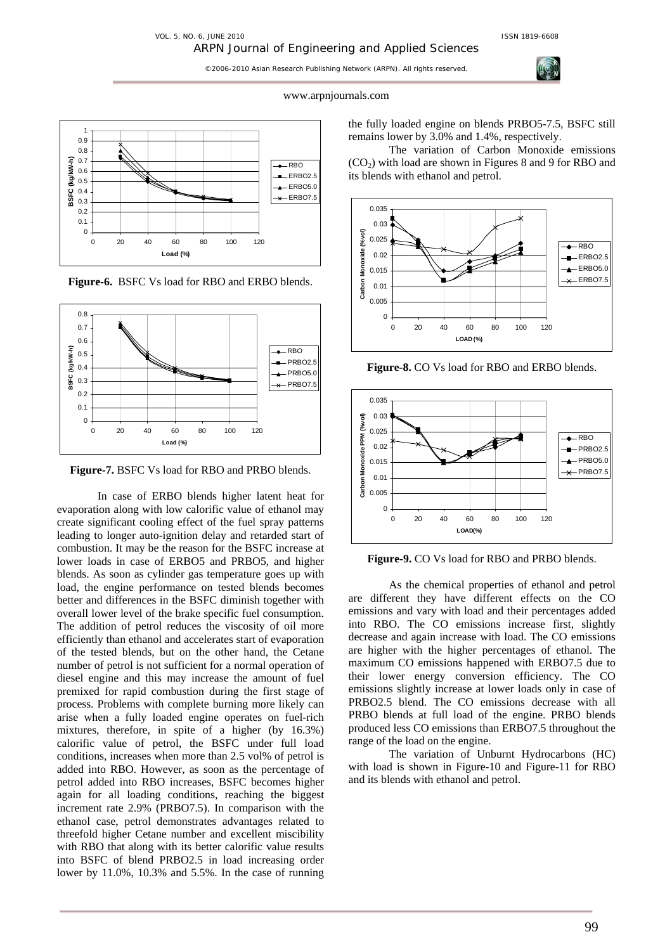

#### www.arpnjournals.com



**Figure-6.** BSFC Vs load for RBO and ERBO blends.



**Figure-7.** BSFC Vs load for RBO and PRBO blends.

In case of ERBO blends higher latent heat for evaporation along with low calorific value of ethanol may create significant cooling effect of the fuel spray patterns leading to longer auto-ignition delay and retarded start of combustion. It may be the reason for the BSFC increase at lower loads in case of ERBO5 and PRBO5, and higher blends. As soon as cylinder gas temperature goes up with load, the engine performance on tested blends becomes better and differences in the BSFC diminish together with overall lower level of the brake specific fuel consumption. The addition of petrol reduces the viscosity of oil more efficiently than ethanol and accelerates start of evaporation of the tested blends, but on the other hand, the Cetane number of petrol is not sufficient for a normal operation of diesel engine and this may increase the amount of fuel premixed for rapid combustion during the first stage of process. Problems with complete burning more likely can arise when a fully loaded engine operates on fuel-rich mixtures, therefore, in spite of a higher (by 16.3%) calorific value of petrol, the BSFC under full load conditions, increases when more than 2.5 vol% of petrol is added into RBO. However, as soon as the percentage of petrol added into RBO increases, BSFC becomes higher again for all loading conditions, reaching the biggest increment rate 2.9% (PRBO7.5). In comparison with the ethanol case, petrol demonstrates advantages related to threefold higher Cetane number and excellent miscibility with RBO that along with its better calorific value results into BSFC of blend PRBO2.5 in load increasing order lower by 11.0%, 10.3% and 5.5%. In the case of running

the fully loaded engine on blends PRBO5-7.5, BSFC still remains lower by 3.0% and 1.4%, respectively.

The variation of Carbon Monoxide emissions  $(CO<sub>2</sub>)$  with load are shown in Figures 8 and 9 for RBO and its blends with ethanol and petrol.



**Figure-8.** CO Vs load for RBO and ERBO blends.



**Figure-9.** CO Vs load for RBO and PRBO blends.

As the chemical properties of ethanol and petrol are different they have different effects on the CO emissions and vary with load and their percentages added into RBO. The CO emissions increase first, slightly decrease and again increase with load. The CO emissions are higher with the higher percentages of ethanol. The maximum CO emissions happened with ERBO7.5 due to their lower energy conversion efficiency. The CO emissions slightly increase at lower loads only in case of PRBO2.5 blend. The CO emissions decrease with all PRBO blends at full load of the engine. PRBO blends produced less CO emissions than ERBO7.5 throughout the range of the load on the engine.

The variation of Unburnt Hydrocarbons (HC) with load is shown in Figure-10 and Figure-11 for RBO and its blends with ethanol and petrol.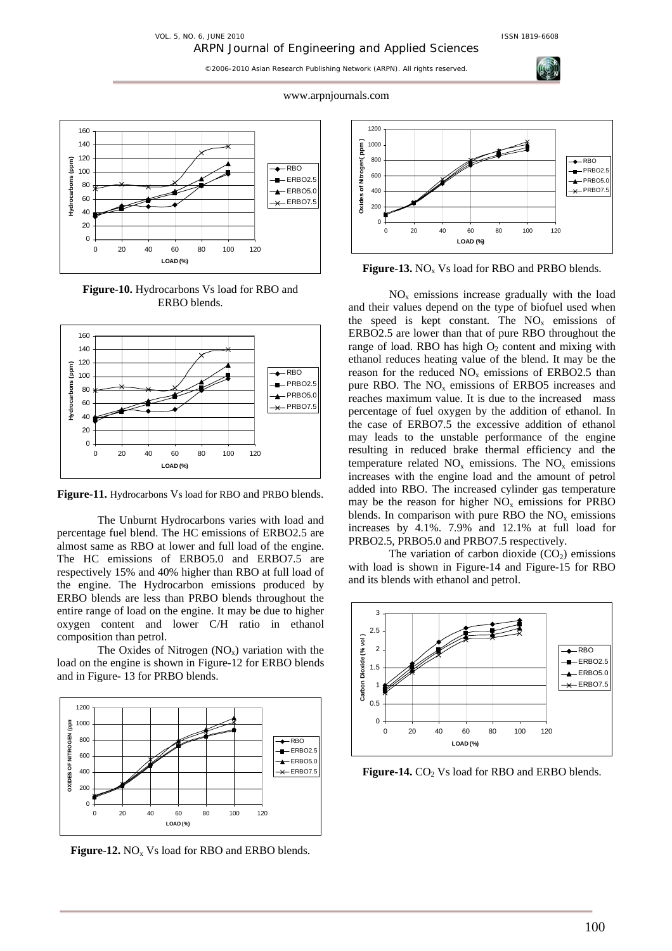VOL. 5, NO. 6, JUNE 2010 ISSN 1819-6608

©2006-2010 Asian Research Publishing Network (ARPN). All rights reserved.



**Figure-10.** Hydrocarbons Vs load for RBO and ERBO blends.



**Figure-11.** Hydrocarbons Vs load for RBO and PRBO blends.

The Unburnt Hydrocarbons varies with load and percentage fuel blend. The HC emissions of ERBO2.5 are almost same as RBO at lower and full load of the engine. The HC emissions of ERBO5.0 and ERBO7.5 are respectively 15% and 40% higher than RBO at full load of the engine. The Hydrocarbon emissions produced by ERBO blends are less than PRBO blends throughout the entire range of load on the engine. It may be due to higher oxygen content and lower C/H ratio in ethanol composition than petrol.

The Oxides of Nitrogen  $(NO_x)$  variation with the load on the engine is shown in Figure-12 for ERBO blends and in Figure- 13 for PRBO blends.



**Figure-12.** NO<sub>x</sub> Vs load for RBO and ERBO blends.



**Figure-13.** NO<sub>x</sub> Vs load for RBO and PRBO blends.

 $NO<sub>x</sub>$  emissions increase gradually with the load and their values depend on the type of biofuel used when the speed is kept constant. The  $NO<sub>x</sub>$  emissions of ERBO2.5 are lower than that of pure RBO throughout the range of load. RBO has high  $O_2$  content and mixing with ethanol reduces heating value of the blend. It may be the reason for the reduced  $NO<sub>x</sub>$  emissions of ERBO2.5 than pure RBO. The  $NO<sub>x</sub>$  emissions of ERBO5 increases and reaches maximum value. It is due to the increased mass percentage of fuel oxygen by the addition of ethanol. In the case of ERBO7.5 the excessive addition of ethanol may leads to the unstable performance of the engine resulting in reduced brake thermal efficiency and the temperature related  $NO<sub>x</sub>$  emissions. The  $NO<sub>x</sub>$  emissions increases with the engine load and the amount of petrol added into RBO. The increased cylinder gas temperature may be the reason for higher  $NO<sub>x</sub>$  emissions for PRBO blends. In comparison with pure RBO the  $NO<sub>x</sub>$  emissions increases by 4.1%. 7.9% and 12.1% at full load for PRBO2.5, PRBO5.0 and PRBO7.5 respectively.

The variation of carbon dioxide  $(CO<sub>2</sub>)$  emissions with load is shown in Figure-14 and Figure-15 for RBO and its blends with ethanol and petrol.



**Figure-14.** CO<sub>2</sub> Vs load for RBO and ERBO blends.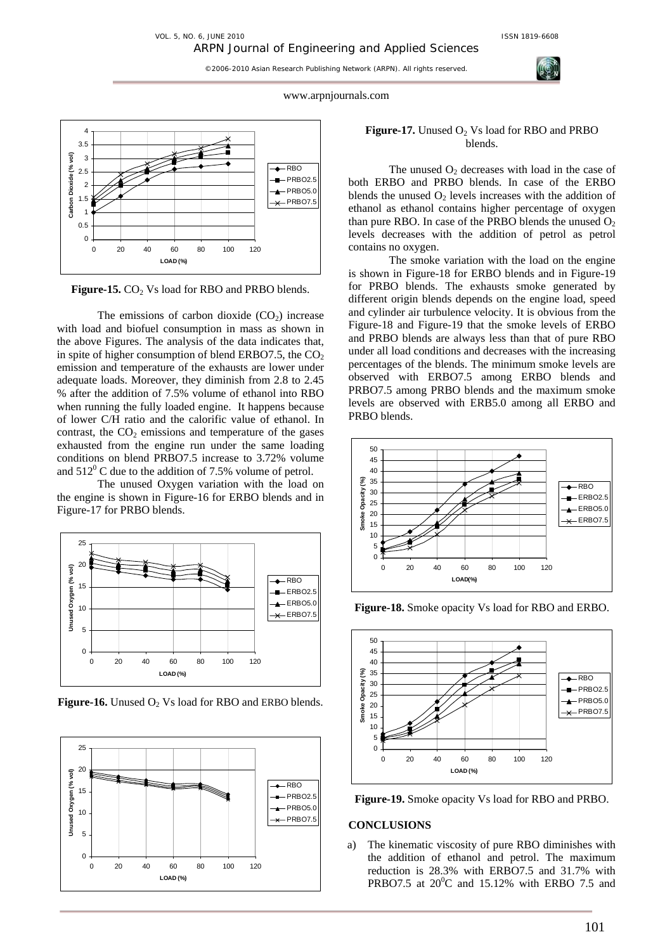www.arpnjournals.com



Figure-15. CO<sub>2</sub> Vs load for RBO and PRBO blends.

The emissions of carbon dioxide  $(CO<sub>2</sub>)$  increase with load and biofuel consumption in mass as shown in the above Figures. The analysis of the data indicates that, in spite of higher consumption of blend ERBO7.5, the  $CO<sub>2</sub>$ emission and temperature of the exhausts are lower under adequate loads. Moreover, they diminish from 2.8 to 2.45 % after the addition of 7.5% volume of ethanol into RBO when running the fully loaded engine. It happens because of lower C/H ratio and the calorific value of ethanol. In contrast, the  $CO<sub>2</sub>$  emissions and temperature of the gases exhausted from the engine run under the same loading conditions on blend PRBO7.5 increase to 3.72% volume and  $512^{\circ}$  C due to the addition of 7.5% volume of petrol.

The unused Oxygen variation with the load on the engine is shown in Figure-16 for ERBO blends and in Figure-17 for PRBO blends.



**Figure-16.** Unused O<sub>2</sub> Vs load for RBO and ERBO blends.



# **Figure-17.** Unused O<sub>2</sub> Vs load for RBO and PRBO blends.

The unused  $O_2$  decreases with load in the case of both ERBO and PRBO blends. In case of the ERBO blends the unused  $O_2$  levels increases with the addition of ethanol as ethanol contains higher percentage of oxygen than pure RBO. In case of the PRBO blends the unused  $O<sub>2</sub>$ levels decreases with the addition of petrol as petrol contains no oxygen.

The smoke variation with the load on the engine is shown in Figure-18 for ERBO blends and in Figure-19 for PRBO blends. The exhausts smoke generated by different origin blends depends on the engine load, speed and cylinder air turbulence velocity. It is obvious from the Figure-18 and Figure-19 that the smoke levels of ERBO and PRBO blends are always less than that of pure RBO under all load conditions and decreases with the increasing percentages of the blends. The minimum smoke levels are observed with ERBO7.5 among ERBO blends and PRBO7.5 among PRBO blends and the maximum smoke levels are observed with ERB5.0 among all ERBO and PRBO blends.



**Figure-18.** Smoke opacity Vs load for RBO and ERBO.



**Figure-19.** Smoke opacity Vs load for RBO and PRBO.

# **CONCLUSIONS**

a) The kinematic viscosity of pure RBO diminishes with the addition of ethanol and petrol. The maximum reduction is 28.3% with ERBO7.5 and 31.7% with PRBO7.5 at  $20^0$ C and 15.12% with ERBO 7.5 and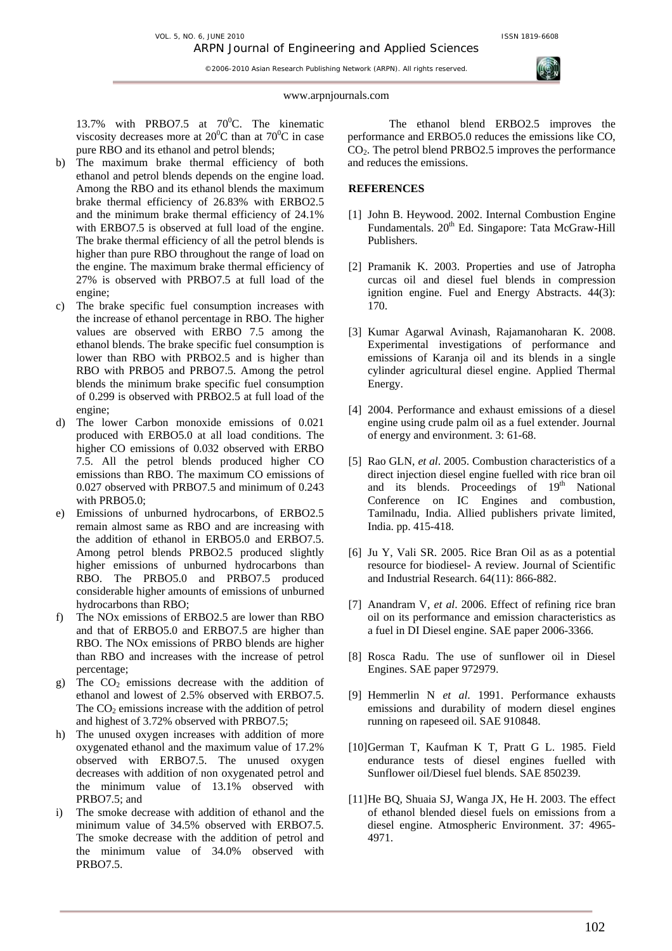VOL. 5, NO. 6, JUNE 2010 ISSN 1819-6608

©2006-2010 Asian Research Publishing Network (ARPN). All rights reserved.

#### www.arpnjournals.com

13.7% with PRBO7.5 at  $70^0$ C. The kinematic viscosity decreases more at  $20^0C$  than at  $70^0C$  in case pure RBO and its ethanol and petrol blends;

- b) The maximum brake thermal efficiency of both ethanol and petrol blends depends on the engine load. Among the RBO and its ethanol blends the maximum brake thermal efficiency of 26.83% with ERBO2.5 and the minimum brake thermal efficiency of 24.1% with ERBO7.5 is observed at full load of the engine. The brake thermal efficiency of all the petrol blends is higher than pure RBO throughout the range of load on the engine. The maximum brake thermal efficiency of 27% is observed with PRBO7.5 at full load of the engine;
- c) The brake specific fuel consumption increases with the increase of ethanol percentage in RBO. The higher values are observed with ERBO 7.5 among the ethanol blends. The brake specific fuel consumption is lower than RBO with PRBO2.5 and is higher than RBO with PRBO5 and PRBO7.5. Among the petrol blends the minimum brake specific fuel consumption of 0.299 is observed with PRBO2.5 at full load of the engine;
- d) The lower Carbon monoxide emissions of 0.021 produced with ERBO5.0 at all load conditions. The higher CO emissions of 0.032 observed with ERBO 7.5. All the petrol blends produced higher CO emissions than RBO. The maximum CO emissions of 0.027 observed with PRBO7.5 and minimum of 0.243 with PRBO5.0;
- e) Emissions of unburned hydrocarbons, of ERBO2.5 remain almost same as RBO and are increasing with the addition of ethanol in ERBO5.0 and ERBO7.5. Among petrol blends PRBO2.5 produced slightly higher emissions of unburned hydrocarbons than RBO. The PRBO5.0 and PRBO7.5 produced considerable higher amounts of emissions of unburned hydrocarbons than RBO;
- f) The NOx emissions of ERBO2.5 are lower than RBO and that of ERBO5.0 and ERBO7.5 are higher than RBO. The NOx emissions of PRBO blends are higher than RBO and increases with the increase of petrol percentage;
- g) The  $CO<sub>2</sub>$  emissions decrease with the addition of ethanol and lowest of 2.5% observed with ERBO7.5. The  $CO<sub>2</sub>$  emissions increase with the addition of petrol and highest of 3.72% observed with PRBO7.5;
- h) The unused oxygen increases with addition of more oxygenated ethanol and the maximum value of 17.2% observed with ERBO7.5. The unused oxygen decreases with addition of non oxygenated petrol and the minimum value of 13.1% observed with PRBO7.5; and
- i) The smoke decrease with addition of ethanol and the minimum value of 34.5% observed with ERBO7.5. The smoke decrease with the addition of petrol and the minimum value of 34.0% observed with PRBO7.5.

The ethanol blend ERBO2.5 improves the performance and ERBO5.0 reduces the emissions like CO,  $CO<sub>2</sub>$ . The petrol blend PRBO2.5 improves the performance and reduces the emissions.

## **REFERENCES**

- [1] John B. Heywood. 2002. Internal Combustion Engine Fundamentals. 20<sup>th</sup> Ed. Singapore: Tata McGraw-Hill Publishers.
- [2] Pramanik K. 2003. Properties and use of Jatropha curcas oil and diesel fuel blends in compression ignition engine. Fuel and Energy Abstracts. 44(3): 170.
- [3] Kumar Agarwal Avinash, Rajamanoharan K. 2008. Experimental investigations of performance and emissions of Karanja oil and its blends in a single cylinder agricultural diesel engine. Applied Thermal Energy.
- [4] 2004. Performance and exhaust emissions of a diesel engine using crude palm oil as a fuel extender. Journal of energy and environment. 3: 61-68.
- [5] Rao GLN, *et al*. 2005. Combustion characteristics of a direct injection diesel engine fuelled with rice bran oil and its blends. Proceedings of 19<sup>th</sup> National Conference on IC Engines and combustion, Tamilnadu, India. Allied publishers private limited, India. pp. 415-418.
- [6] Ju Y, Vali SR. 2005. Rice Bran Oil as as a potential resource for biodiesel- A review. Journal of Scientific and Industrial Research. 64(11): 866-882.
- [7] Anandram V, *et al*. 2006. Effect of refining rice bran oil on its performance and emission characteristics as a fuel in DI Diesel engine. SAE paper 2006-3366.
- [8] Rosca Radu. The use of sunflower oil in Diesel Engines. SAE paper 972979.
- [9] Hemmerlin N *et al*. 1991. Performance exhausts emissions and durability of modern diesel engines running on rapeseed oil. SAE 910848.
- [10]German T, Kaufman K T, Pratt G L. 1985. Field endurance tests of diesel engines fuelled with Sunflower oil/Diesel fuel blends. SAE 850239.
- [11]He BQ, Shuaia SJ, Wanga JX, He H. 2003. The effect of ethanol blended diesel fuels on emissions from a diesel engine. Atmospheric Environment. 37: 4965- 4971.